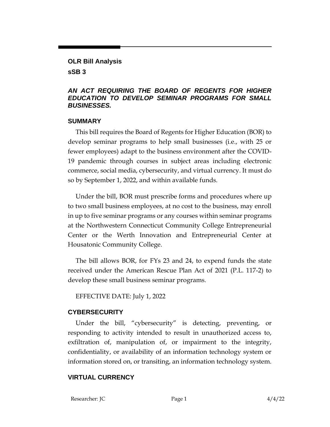#### **OLR Bill Analysis**

**sSB 3**

## *AN ACT REQUIRING THE BOARD OF REGENTS FOR HIGHER EDUCATION TO DEVELOP SEMINAR PROGRAMS FOR SMALL BUSINESSES.*

#### **SUMMARY**

This bill requires the Board of Regents for Higher Education (BOR) to develop seminar programs to help small businesses (i.e., with 25 or fewer employees) adapt to the business environment after the COVID-19 pandemic through courses in subject areas including electronic commerce, social media, cybersecurity, and virtual currency. It must do so by September 1, 2022, and within available funds.

Under the bill, BOR must prescribe forms and procedures where up to two small business employees, at no cost to the business, may enroll in up to five seminar programs or any courses within seminar programs at the Northwestern Connecticut Community College Entrepreneurial Center or the Werth Innovation and Entrepreneurial Center at Housatonic Community College.

The bill allows BOR, for FYs 23 and 24, to expend funds the state received under the American Rescue Plan Act of 2021 (P.L. 117-2) to develop these small business seminar programs.

EFFECTIVE DATE: July 1, 2022

## **CYBERSECURITY**

Under the bill, "cybersecurity" is detecting, preventing, or responding to activity intended to result in unauthorized access to, exfiltration of, manipulation of, or impairment to the integrity, confidentiality, or availability of an information technology system or information stored on, or transiting, an information technology system.

## **VIRTUAL CURRENCY**

Researcher: JC Page 1 4/4/22